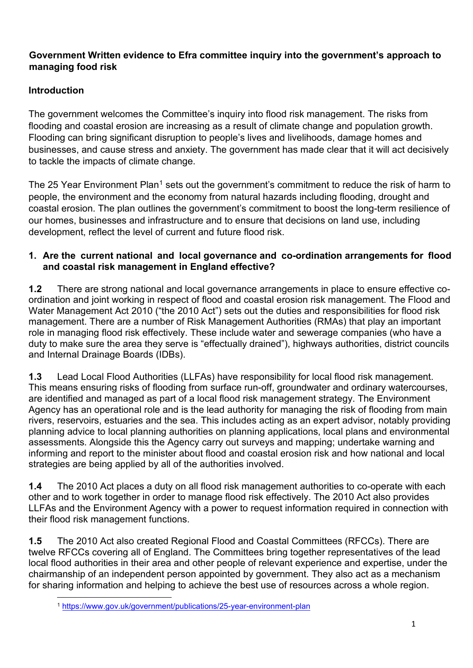## **Government Written evidence to Efra committee inquiry into the government's approach to managing food risk**

# **Introduction**

The government welcomes the Committee's inquiry into flood risk management. The risks from flooding and coastal erosion are increasing as a result of climate change and population growth. Flooding can bring significant disruption to people's lives and livelihoods, damage homes and businesses, and cause stress and anxiety. The government has made clear that it will act decisively to tackle the impacts of climate change.

The 25 Year Environment Plan<sup>[1](#page-0-0)</sup> sets out the government's commitment to reduce the risk of harm to people, the environment and the economy from natural hazards including flooding, drought and coastal erosion. The plan outlines the government's commitment to boost the long-term resilience of our homes, businesses and infrastructure and to ensure that decisions on land use, including development, reflect the level of current and future flood risk.

#### **1. Are the current national and local governance and co-ordination arrangements for flood and coastal risk management in England effective?**

**1.2** There are strong national and local governance arrangements in place to ensure effective coordination and joint working in respect of flood and coastal erosion risk management. The Flood and Water Management Act 2010 ("the 2010 Act") sets out the duties and responsibilities for flood risk management. There are a number of Risk Management Authorities (RMAs) that play an important role in managing flood risk effectively. These include water and sewerage companies (who have a duty to make sure the area they serve is "effectually drained"), highways authorities, district councils and Internal Drainage Boards (IDBs).

**1.3** Lead Local Flood Authorities (LLFAs) have responsibility for local flood risk management. This means ensuring risks of flooding from surface run-off, groundwater and ordinary watercourses, are identified and managed as part of a local flood risk management strategy. The Environment Agency has an operational role and is the lead authority for managing the risk of flooding from main rivers, reservoirs, estuaries and the sea. This includes acting as an expert advisor, notably providing planning advice to local planning authorities on planning applications, local plans and environmental assessments. Alongside this the Agency carry out surveys and mapping; undertake warning and informing and report to the minister about flood and coastal erosion risk and how national and local strategies are being applied by all of the authorities involved.

**1.4** The 2010 Act places a duty on all flood risk management authorities to co-operate with each other and to work together in order to manage flood risk effectively. The 2010 Act also provides LLFAs and the Environment Agency with a power to request information required in connection with their flood risk management functions.

**1.5** The 2010 Act also created Regional Flood and Coastal Committees (RFCCs). There are twelve RFCCs covering all of England. The Committees bring together representatives of the lead local flood authorities in their area and other people of relevant experience and expertise, under the chairmanship of an independent person appointed by government. They also act as a mechanism for sharing information and helping to achieve the best use of resources across a whole region.

<span id="page-0-0"></span><sup>1</sup> <https://www.gov.uk/government/publications/25-year-environment-plan>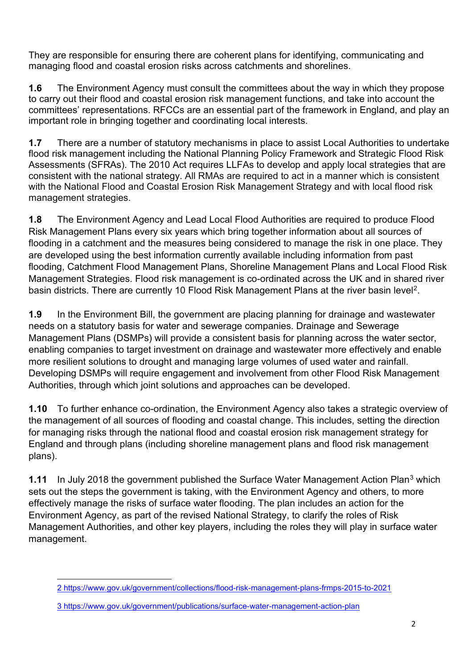They are responsible for ensuring there are coherent plans for identifying, communicating and managing flood and coastal erosion risks across catchments and shorelines.

**1.6** The Environment Agency must consult the committees about the way in which they propose to carry out their flood and coastal erosion risk management functions, and take into account the committees' representations. RFCCs are an essential part of the framework in England, and play an important role in bringing together and coordinating local interests.

**1.7** There are a number of statutory mechanisms in place to assist Local Authorities to undertake flood risk management including the National Planning Policy Framework and Strategic Flood Risk Assessments (SFRAs). The 2010 Act requires LLFAs to develop and apply local strategies that are consistent with the national strategy. All RMAs are required to act in a manner which is consistent with the National Flood and Coastal Erosion Risk Management Strategy and with local flood risk management strategies.

**1.8** The Environment Agency and Lead Local Flood Authorities are required to produce Flood Risk Management Plans every six years which bring together information about all sources of flooding in a catchment and the measures being considered to manage the risk in one place. They are developed using the best information currently available including information from past flooding, Catchment Flood Management Plans, Shoreline Management Plans and Local Flood Risk Management Strategies. Flood risk management is co-ordinated across the UK and in shared river basin districts. There are currently 10 Flood Risk Management Plans at the river basin level<sup>[2](#page-1-0)</sup>.

**1.9** In the Environment Bill, the government are placing planning for drainage and wastewater needs on a statutory basis for water and sewerage companies. Drainage and Sewerage Management Plans (DSMPs) will provide a consistent basis for planning across the water sector, enabling companies to target investment on drainage and wastewater more effectively and enable more resilient solutions to drought and managing large volumes of used water and rainfall. Developing DSMPs will require engagement and involvement from other Flood Risk Management Authorities, through which joint solutions and approaches can be developed.

**1.10** To further enhance co-ordination, the Environment Agency also takes a strategic overview of the management of all sources of flooding and coastal change. This includes, setting the direction for managing risks through the national flood and coastal erosion risk management strategy for England and through plans (including shoreline management plans and flood risk management plans).

**1.11** In July 2018 the government published the Surface Water Management Action Plan<sup>[3](#page-1-1)</sup> which sets out the steps the government is taking, with the Environment Agency and others, to more effectively manage the risks of surface water flooding. The plan includes an action for the Environment Agency, as part of the revised National Strategy, to clarify the roles of Risk Management Authorities, and other key players, including the roles they will play in surface water management.

<span id="page-1-0"></span><sup>2</sup> <https://www.gov.uk/government/collections/flood-risk-management-plans-frmps-2015-to-2021>

<span id="page-1-1"></span><sup>3</sup> https://www.gov.uk/government/publications/surface-water-management-action-plan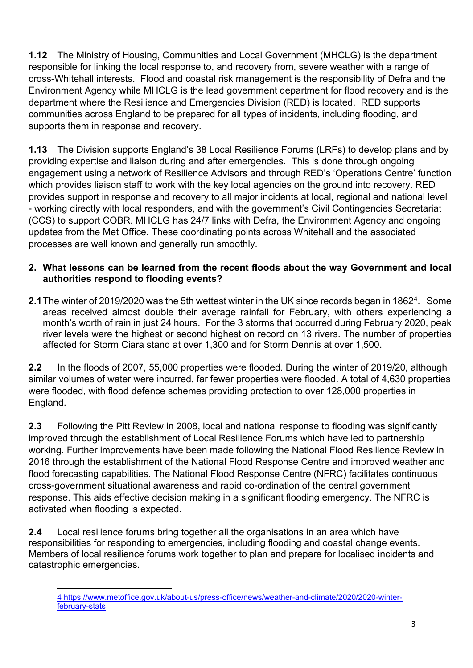**1.12** The Ministry of Housing, Communities and Local Government (MHCLG) is the department responsible for linking the local response to, and recovery from, severe weather with a range of cross-Whitehall interests. Flood and coastal risk management is the responsibility of Defra and the Environment Agency while MHCLG is the lead government department for flood recovery and is the department where the Resilience and Emergencies Division (RED) is located. RED supports communities across England to be prepared for all types of incidents, including flooding, and supports them in response and recovery.

**1.13** The Division supports England's 38 Local Resilience Forums (LRFs) to develop plans and by providing expertise and liaison during and after emergencies. This is done through ongoing engagement using a network of Resilience Advisors and through RED's 'Operations Centre' function which provides liaison staff to work with the key local agencies on the ground into recovery. RED provides support in response and recovery to all major incidents at local, regional and national level - working directly with local responders, and with the government's Civil Contingencies Secretariat (CCS) to support COBR. MHCLG has 24/7 links with Defra, the Environment Agency and ongoing updates from the Met Office. These coordinating points across Whitehall and the associated processes are well known and generally run smoothly.

### **2. What lessons can be learned from the recent floods about the way Government and local authorities respond to flooding events?**

**2.1** The winter of 2019/2020 was the 5th wettest winter in the UK since records began in 1862<sup>4</sup>. Some areas received almost double their average rainfall for February, with others experiencing a month's worth of rain in just 24 hours. For the 3 storms that occurred during February 2020, peak river levels were the highest or second highest on record on 13 rivers. The number of properties affected for Storm Ciara stand at over 1,300 and for Storm Dennis at over 1,500.

**2.2** In the floods of 2007, 55,000 properties were flooded. During the winter of 2019/20, although similar volumes of water were incurred, far fewer properties were flooded. A total of 4,630 properties were flooded, with flood defence schemes providing protection to over 128,000 properties in England.

**2.3** Following the Pitt Review in 2008, local and national response to flooding was significantly improved through the establishment of Local Resilience Forums which have led to partnership working. Further improvements have been made following the National Flood Resilience Review in 2016 through the establishment of the National Flood Response Centre and improved weather and flood forecasting capabilities. The National Flood Response Centre (NFRC) facilitates continuous cross-government situational awareness and rapid co-ordination of the central government response. This aids effective decision making in a significant flooding emergency. The NFRC is activated when flooding is expected.

**2.4** Local resilience forums bring together all the organisations in an area which have responsibilities for responding to emergencies, including flooding and coastal change events. Members of local resilience forums work together to plan and prepare for localised incidents and catastrophic emergencies.

<span id="page-2-0"></span><sup>4</sup> https://www.metoffice.gov.uk/about-us/press-office/news/weather-and-climate/2020/2020-winterfebruary-stats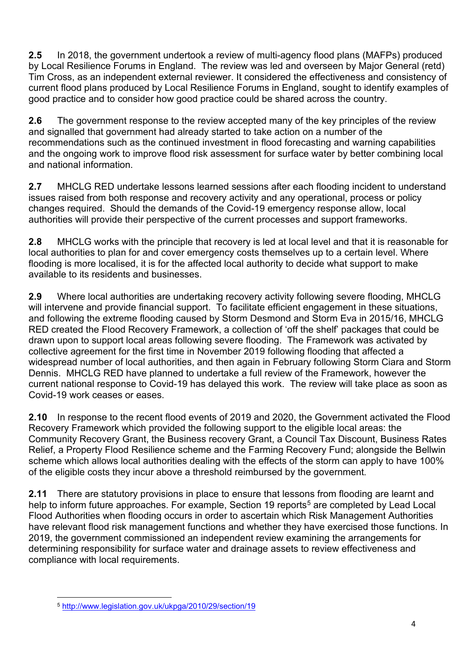**2.5** In 2018, the government undertook a review of multi-agency flood plans (MAFPs) produced by Local Resilience Forums in England. The review was led and overseen by Major General (retd) Tim Cross, as an independent external reviewer. It considered the effectiveness and consistency of current flood plans produced by Local Resilience Forums in England, sought to identify examples of good practice and to consider how good practice could be shared across the country.

**2.6** The government response to the review accepted many of the key principles of the review and signalled that government had already started to take action on a number of the recommendations such as the continued investment in flood forecasting and warning capabilities and the ongoing work to improve flood risk assessment for surface water by better combining local and national information.

**2.7** MHCLG RED undertake lessons learned sessions after each flooding incident to understand issues raised from both response and recovery activity and any operational, process or policy changes required. Should the demands of the Covid-19 emergency response allow, local authorities will provide their perspective of the current processes and support frameworks.

**2.8** MHCLG works with the principle that recovery is led at local level and that it is reasonable for local authorities to plan for and cover emergency costs themselves up to a certain level. Where flooding is more localised, it is for the affected local authority to decide what support to make available to its residents and businesses.

**2.9** Where local authorities are undertaking recovery activity following severe flooding, MHCLG will intervene and provide financial support. To facilitate efficient engagement in these situations, and following the extreme flooding caused by Storm Desmond and Storm Eva in 2015/16, MHCLG RED created the Flood Recovery Framework, a collection of 'off the shelf' packages that could be drawn upon to support local areas following severe flooding. The Framework was activated by collective agreement for the first time in November 2019 following flooding that affected a widespread number of local authorities, and then again in February following Storm Ciara and Storm Dennis. MHCLG RED have planned to undertake a full review of the Framework, however the current national response to Covid-19 has delayed this work. The review will take place as soon as Covid-19 work ceases or eases.

**2.10** In response to the recent flood events of 2019 and 2020, the Government activated the Flood Recovery Framework which provided the following support to the eligible local areas: the Community Recovery Grant, the Business recovery Grant, a Council Tax Discount, Business Rates Relief, a Property Flood Resilience scheme and the Farming Recovery Fund; alongside the Bellwin scheme which allows local authorities dealing with the effects of the storm can apply to have 100% of the eligible costs they incur above a threshold reimbursed by the government.

**2.11** There are statutory provisions in place to ensure that lessons from flooding are learnt and help to inform future approaches. For example, Section 19 reports<sup>[5](#page-3-0)</sup> are completed by Lead Local Flood Authorities when flooding occurs in order to ascertain which Risk Management Authorities have relevant flood risk management functions and whether they have exercised those functions. In 2019, the government commissioned an independent review examining the arrangements for determining responsibility for surface water and drainage assets to review effectiveness and compliance with local requirements.

<span id="page-3-0"></span><sup>5</sup> <http://www.legislation.gov.uk/ukpga/2010/29/section/19>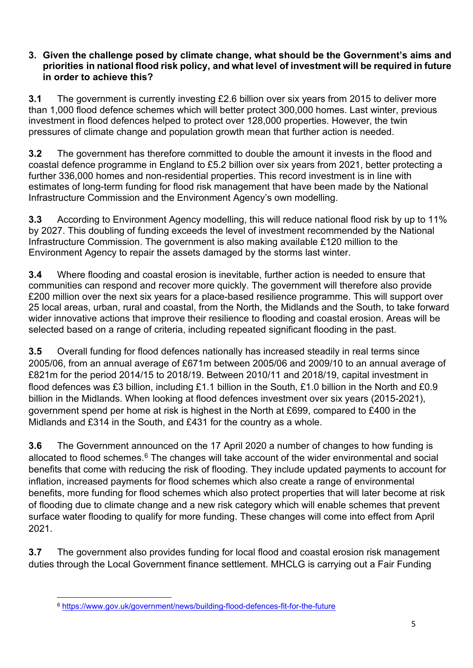#### **3. Given the challenge posed by climate change, what should be the Government's aims and priorities in national flood risk policy, and what level of investment will be required in future in order to achieve this?**

**3.1** The government is currently investing £2.6 billion over six years from 2015 to deliver more than 1,000 flood defence schemes which will better protect 300,000 homes. Last winter, previous investment in flood defences helped to protect over 128,000 properties. However, the twin pressures of climate change and population growth mean that further action is needed.

**3.2** The government has therefore committed to double the amount it invests in the flood and coastal defence programme in England to £5.2 billion over six years from 2021, better protecting a further 336,000 homes and non-residential properties. This record investment is in line with estimates of long-term funding for flood risk management that have been made by the National Infrastructure Commission and the Environment Agency's own modelling.

**3.3** According to Environment Agency modelling, this will reduce national flood risk by up to 11% by 2027. This doubling of funding exceeds the level of investment recommended by the National Infrastructure Commission. The government is also making available £120 million to the Environment Agency to repair the assets damaged by the storms last winter.

**3.4** Where flooding and coastal erosion is inevitable, further action is needed to ensure that communities can respond and recover more quickly. The government will therefore also provide £200 million over the next six years for a place-based resilience programme. This will support over 25 local areas, urban, rural and coastal, from the North, the Midlands and the South, to take forward wider innovative actions that improve their resilience to flooding and coastal erosion. Areas will be selected based on a range of criteria, including repeated significant flooding in the past.

**3.5** Overall funding for flood defences nationally has increased steadily in real terms since 2005/06, from an annual average of £671m between 2005/06 and 2009/10 to an annual average of £821m for the period 2014/15 to 2018/19. Between 2010/11 and 2018/19, capital investment in flood defences was £3 billion, including £1.1 billion in the South, £1.0 billion in the North and £0.9 billion in the Midlands. When looking at flood defences investment over six years (2015-2021), government spend per home at risk is highest in the North at £699, compared to £400 in the Midlands and £314 in the South, and £431 for the country as a whole.

**3.6** The Government announced on the 17 April 2020 a number of changes to how funding is allocated to flood schemes.<sup>[6](#page-4-0)</sup> The changes will take account of the wider environmental and social benefits that come with reducing the risk of flooding. They include updated payments to account for inflation, increased payments for flood schemes which also create a range of environmental benefits, more funding for flood schemes which also protect properties that will later become at risk of flooding due to climate change and a new risk category which will enable schemes that prevent surface water flooding to qualify for more funding. These changes will come into effect from April 2021.

**3.7** The government also provides funding for local flood and coastal erosion risk management duties through the Local Government finance settlement. MHCLG is carrying out a Fair Funding

<span id="page-4-0"></span><sup>6</sup> <https://www.gov.uk/government/news/building-flood-defences-fit-for-the-future>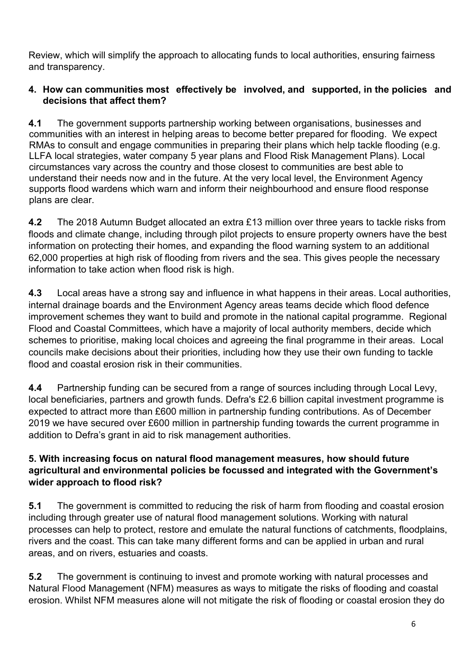Review, which will simplify the approach to allocating funds to local authorities, ensuring fairness and transparency.

#### **4. How can communities most effectively be involved, and supported, in the policies and decisions that affect them?**

**4.1** The government supports partnership working between organisations, businesses and communities with an interest in helping areas to become better prepared for flooding. We expect RMAs to consult and engage communities in preparing their plans which help tackle flooding (e.g. LLFA local strategies, water company 5 year plans and Flood Risk Management Plans). Local circumstances vary across the country and those closest to communities are best able to understand their needs now and in the future. At the very local level, the Environment Agency supports flood wardens which warn and inform their neighbourhood and ensure flood response plans are clear.

**4.2** The 2018 Autumn Budget allocated an extra £13 million over three years to tackle risks from floods and climate change, including through pilot projects to ensure property owners have the best information on protecting their homes, and expanding the flood warning system to an additional 62,000 properties at high risk of flooding from rivers and the sea. This gives people the necessary information to take action when flood risk is high.

**4.3** Local areas have a strong say and influence in what happens in their areas. Local authorities, internal drainage boards and the Environment Agency areas teams decide which flood defence improvement schemes they want to build and promote in the national capital programme. Regional Flood and Coastal Committees, which have a majority of local authority members, decide which schemes to prioritise, making local choices and agreeing the final programme in their areas. Local councils make decisions about their priorities, including how they use their own funding to tackle flood and coastal erosion risk in their communities.

**4.4** Partnership funding can be secured from a range of sources including through Local Levy, local beneficiaries, partners and growth funds. Defra's £2.6 billion capital investment programme is expected to attract more than £600 million in partnership funding contributions. As of December 2019 we have secured over £600 million in partnership funding towards the current programme in addition to Defra's grant in aid to risk management authorities.

## **5. With increasing focus on natural flood management measures, how should future agricultural and environmental policies be focussed and integrated with the Government's wider approach to flood risk?**

**5.1** The government is committed to reducing the risk of harm from flooding and coastal erosion including through greater use of natural flood management solutions. Working with natural processes can help to protect, restore and emulate the natural functions of catchments, floodplains, rivers and the coast. This can take many different forms and can be applied in urban and rural areas, and on rivers, estuaries and coasts.

**5.2** The government is continuing to invest and promote working with natural processes and Natural Flood Management (NFM) measures as ways to mitigate the risks of flooding and coastal erosion. Whilst NFM measures alone will not mitigate the risk of flooding or coastal erosion they do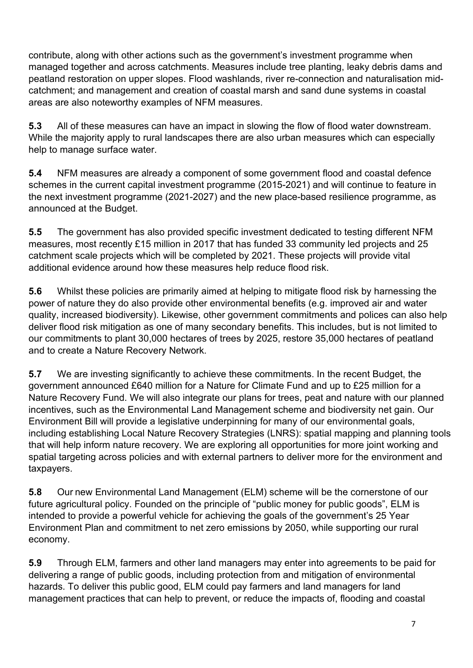contribute, along with other actions such as the government's investment programme when managed together and across catchments. Measures include tree planting, leaky debris dams and peatland restoration on upper slopes. Flood washlands, river re-connection and naturalisation midcatchment; and management and creation of coastal marsh and sand dune systems in coastal areas are also noteworthy examples of NFM measures.

**5.3** All of these measures can have an impact in slowing the flow of flood water downstream. While the majority apply to rural landscapes there are also urban measures which can especially help to manage surface water.

**5.4** NFM measures are already a component of some government flood and coastal defence schemes in the current capital investment programme (2015-2021) and will continue to feature in the next investment programme (2021-2027) and the new place-based resilience programme, as announced at the Budget.

**5.5** The government has also provided specific investment dedicated to testing different NFM measures, most recently £15 million in 2017 that has funded 33 community led projects and 25 catchment scale projects which will be completed by 2021. These projects will provide vital additional evidence around how these measures help reduce flood risk.

**5.6** Whilst these policies are primarily aimed at helping to mitigate flood risk by harnessing the power of nature they do also provide other environmental benefits (e.g. improved air and water quality, increased biodiversity). Likewise, other government commitments and polices can also help deliver flood risk mitigation as one of many secondary benefits. This includes, but is not limited to our commitments to plant 30,000 hectares of trees by 2025, restore 35,000 hectares of peatland and to create a Nature Recovery Network.

**5.7** We are investing significantly to achieve these commitments. In the recent Budget, the government announced £640 million for a Nature for Climate Fund and up to £25 million for a Nature Recovery Fund. We will also integrate our plans for trees, peat and nature with our planned incentives, such as the Environmental Land Management scheme and biodiversity net gain. Our Environment Bill will provide a legislative underpinning for many of our environmental goals, including establishing Local Nature Recovery Strategies (LNRS): spatial mapping and planning tools that will help inform nature recovery. We are exploring all opportunities for more joint working and spatial targeting across policies and with external partners to deliver more for the environment and taxpayers.

**5.8** Our new Environmental Land Management (ELM) scheme will be the cornerstone of our future agricultural policy. Founded on the principle of "public money for public goods", ELM is intended to provide a powerful vehicle for achieving the goals of the government's 25 Year Environment Plan and commitment to net zero emissions by 2050, while supporting our rural economy.

**5.9** Through ELM, farmers and other land managers may enter into agreements to be paid for delivering a range of public goods, including protection from and mitigation of environmental hazards. To deliver this public good, ELM could pay farmers and land managers for land management practices that can help to prevent, or reduce the impacts of, flooding and coastal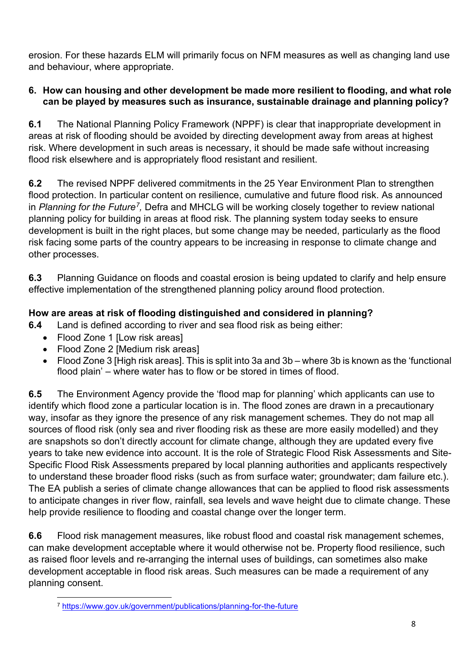erosion. For these hazards ELM will primarily focus on NFM measures as well as changing land use and behaviour, where appropriate.

#### **6. How can housing and other development be made more resilient to flooding, and what role can be played by measures such as insurance, sustainable drainage and planning policy?**

**6.1** The National Planning Policy Framework (NPPF) is clear that inappropriate development in areas at risk of flooding should be avoided by directing development away from areas at highest risk. Where development in such areas is necessary, it should be made safe without increasing flood risk elsewhere and is appropriately flood resistant and resilient.

**6.2** The revised NPPF delivered commitments in the 25 Year Environment Plan to strengthen flood protection. In particular content on resilience, cumulative and future flood risk. As announced in *Planning for the Future[7,](#page-7-0)* Defra and MHCLG will be working closely together to review national planning policy for building in areas at flood risk. The planning system today seeks to ensure development is built in the right places, but some change may be needed, particularly as the flood risk facing some parts of the country appears to be increasing in response to climate change and other processes.

**6.3** Planning Guidance on floods and coastal erosion is being updated to clarify and help ensure effective implementation of the strengthened planning policy around flood protection.

# **How are areas at risk of flooding distinguished and considered in planning?**

**6.4** Land is defined according to river and sea flood risk as being either:

- Flood Zone 1 [Low risk areas]
- Flood Zone 2 [Medium risk areas]
- Flood Zone 3 [High risk areas]. This is split into 3a and 3b where 3b is known as the 'functional flood plain' – where water has to flow or be stored in times of flood.

**6.5** The Environment Agency provide the 'flood map for planning' which applicants can use to identify which flood zone a particular location is in. The flood zones are drawn in a precautionary way, insofar as they ignore the presence of any risk management schemes. They do not map all sources of flood risk (only sea and river flooding risk as these are more easily modelled) and they are snapshots so don't directly account for climate change, although they are updated every five years to take new evidence into account. It is the role of Strategic Flood Risk Assessments and Site-Specific Flood Risk Assessments prepared by local planning authorities and applicants respectively to understand these broader flood risks (such as from surface water; groundwater; dam failure etc.). The EA publish a series of climate change allowances that can be applied to flood risk assessments to anticipate changes in river flow, rainfall, sea levels and wave height due to climate change. These help provide resilience to flooding and coastal change over the longer term.

**6.6** Flood risk management measures, like robust flood and coastal risk management schemes, can make development acceptable where it would otherwise not be. Property flood resilience, such as raised floor levels and re-arranging the internal uses of buildings, can sometimes also make development acceptable in flood risk areas. Such measures can be made a requirement of any planning consent.

<span id="page-7-0"></span><sup>7</sup> <https://www.gov.uk/government/publications/planning-for-the-future>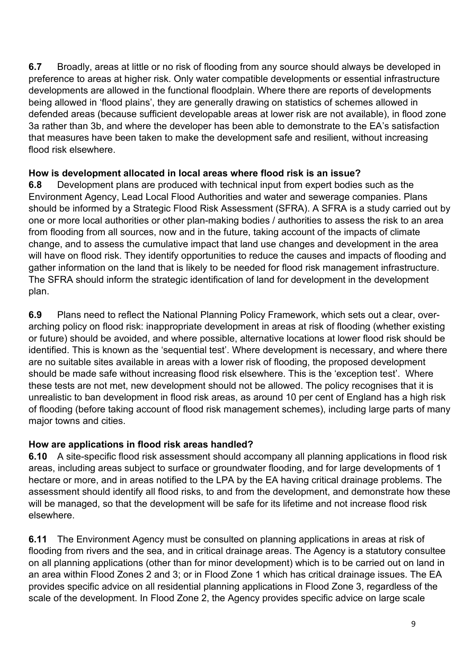**6.7** Broadly, areas at little or no risk of flooding from any source should always be developed in preference to areas at higher risk. Only water compatible developments or essential infrastructure developments are allowed in the functional floodplain. Where there are reports of developments being allowed in 'flood plains', they are generally drawing on statistics of schemes allowed in defended areas (because sufficient developable areas at lower risk are not available), in flood zone 3a rather than 3b, and where the developer has been able to demonstrate to the EA's satisfaction that measures have been taken to make the development safe and resilient, without increasing flood risk elsewhere.

# **How is development allocated in local areas where flood risk is an issue?**

**6.8** Development plans are produced with technical input from expert bodies such as the Environment Agency, Lead Local Flood Authorities and water and sewerage companies. Plans should be informed by a Strategic Flood Risk Assessment (SFRA). A SFRA is a study carried out by one or more local authorities or other plan-making bodies / authorities to assess the risk to an area from flooding from all sources, now and in the future, taking account of the impacts of climate change, and to assess the cumulative impact that land use changes and development in the area will have on flood risk. They identify opportunities to reduce the causes and impacts of flooding and gather information on the land that is likely to be needed for flood risk management infrastructure. The SFRA should inform the strategic identification of land for development in the development plan.

**6.9** Plans need to reflect the National Planning Policy Framework, which sets out a clear, overarching policy on flood risk: inappropriate development in areas at risk of flooding (whether existing or future) should be avoided, and where possible, alternative locations at lower flood risk should be identified. This is known as the 'sequential test'. Where development is necessary, and where there are no suitable sites available in areas with a lower risk of flooding, the proposed development should be made safe without increasing flood risk elsewhere. This is the 'exception test'. Where these tests are not met, new development should not be allowed. The policy recognises that it is unrealistic to ban development in flood risk areas, as around 10 per cent of England has a high risk of flooding (before taking account of flood risk management schemes), including large parts of many major towns and cities.

# **How are applications in flood risk areas handled?**

**6.10** A site-specific flood risk assessment should accompany all planning applications in flood risk areas, including areas subject to surface or groundwater flooding, and for large developments of 1 hectare or more, and in areas notified to the LPA by the EA having critical drainage problems. The assessment should identify all flood risks, to and from the development, and demonstrate how these will be managed, so that the development will be safe for its lifetime and not increase flood risk elsewhere.

**6.11** The Environment Agency must be consulted on planning applications in areas at risk of flooding from rivers and the sea, and in critical drainage areas. The Agency is a statutory consultee on all planning applications (other than for minor development) which is to be carried out on land in an area within Flood Zones 2 and 3; or in Flood Zone 1 which has critical drainage issues. The EA provides specific advice on all residential planning applications in Flood Zone 3, regardless of the scale of the development. In Flood Zone 2, the Agency provides specific advice on large scale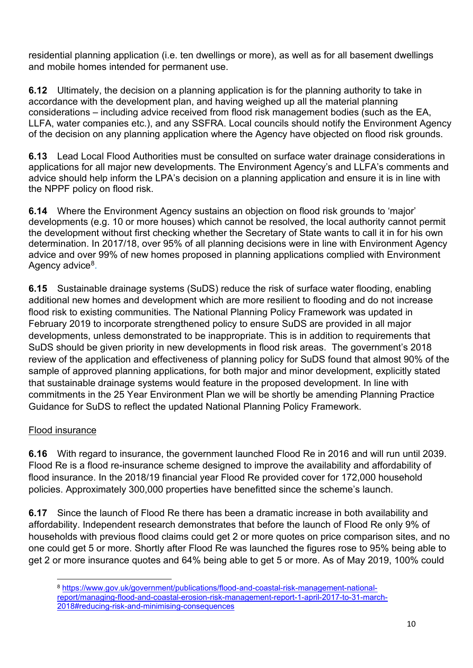residential planning application (i.e. ten dwellings or more), as well as for all basement dwellings and mobile homes intended for permanent use.

**6.12** Ultimately, the decision on a planning application is for the planning authority to take in accordance with the development plan, and having weighed up all the material planning considerations – including advice received from flood risk management bodies (such as the EA, LLFA, water companies etc.), and any SSFRA. Local councils should notify the Environment Agency of the decision on any planning application where the Agency have objected on flood risk grounds.

**6.13** Lead Local Flood Authorities must be consulted on surface water drainage considerations in applications for all major new developments. The Environment Agency's and LLFA's comments and advice should help inform the LPA's decision on a planning application and ensure it is in line with the NPPF policy on flood risk.

**6.14** Where the Environment Agency sustains an objection on flood risk grounds to 'major' developments (e.g. 10 or more houses) which cannot be resolved, the local authority cannot permit the development without first checking whether the Secretary of State wants to call it in for his own determination. In 2017/18, over 95% of all planning decisions were in line with Environment Agency advice and over 99% of new homes proposed in planning applications complied with Environment Agency advice<sup>[8](#page-9-0)</sup>.

**6.15** Sustainable drainage systems (SuDS) reduce the risk of surface water flooding, enabling additional new homes and development which are more resilient to flooding and do not increase flood risk to existing communities. The National Planning Policy Framework was updated in February 2019 to incorporate strengthened policy to ensure SuDS are provided in all major developments, unless demonstrated to be inappropriate. This is in addition to requirements that SuDS should be given priority in new developments in flood risk areas. The government's 2018 review of the application and effectiveness of planning policy for SuDS found that almost 90% of the sample of approved planning applications, for both major and minor development, explicitly stated that sustainable drainage systems would feature in the proposed development. In line with commitments in the 25 Year Environment Plan we will be shortly be amending Planning Practice Guidance for SuDS to reflect the updated National Planning Policy Framework.

#### Flood insurance

**6.16** With regard to insurance, the government launched Flood Re in 2016 and will run until 2039. Flood Re is a flood re-insurance scheme designed to improve the availability and affordability of flood insurance. In the 2018/19 financial year Flood Re provided cover for 172,000 household policies. Approximately 300,000 properties have benefitted since the scheme's launch.

**6.17** Since the launch of Flood Re there has been a dramatic increase in both availability and affordability. Independent research demonstrates that before the launch of Flood Re only 9% of households with previous flood claims could get 2 or more quotes on price comparison sites, and no one could get 5 or more. Shortly after Flood Re was launched the figures rose to 95% being able to get 2 or more insurance quotes and 64% being able to get 5 or more. As of May 2019, 100% could

<span id="page-9-0"></span><sup>8</sup> [https://www.gov.uk/government/publications/flood-and-coastal-risk-management-national](https://www.gov.uk/government/publications/flood-and-coastal-risk-management-national-report/managing-flood-and-coastal-erosion-risk-management-report-1-april-2017-to-31-march-2018#reducing-risk-and-minimising-consequences)[report/managing-flood-and-coastal-erosion-risk-management-report-1-april-2017-to-31-march-](https://www.gov.uk/government/publications/flood-and-coastal-risk-management-national-report/managing-flood-and-coastal-erosion-risk-management-report-1-april-2017-to-31-march-2018#reducing-risk-and-minimising-consequences)[2018#reducing-risk-and-minimising-consequences](https://www.gov.uk/government/publications/flood-and-coastal-risk-management-national-report/managing-flood-and-coastal-erosion-risk-management-report-1-april-2017-to-31-march-2018#reducing-risk-and-minimising-consequences)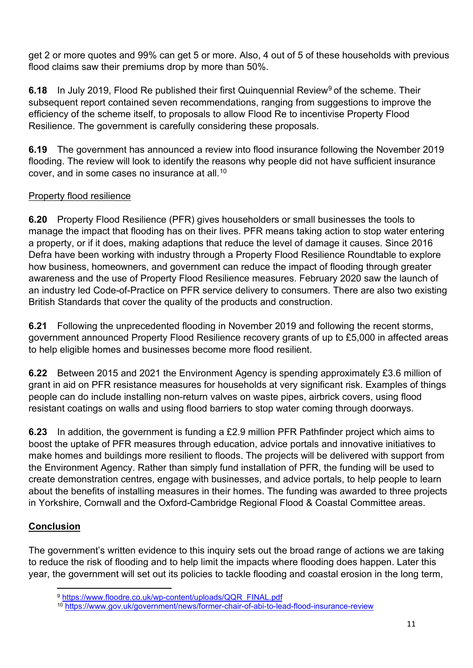get 2 or more quotes and 99% can get 5 or more. Also, 4 out of 5 of these households with previous flood claims saw their premiums drop by more than 50%.

**6.18** In July 201[9](#page-10-0), Flood Re published their first Quinquennial Review<sup>9</sup> of the scheme. Their subsequent report contained seven recommendations, ranging from suggestions to improve the efficiency of the scheme itself, to proposals to allow Flood Re to incentivise Property Flood Resilience. The government is carefully considering these proposals.

**6.19** The government has announced a review into flood insurance following the November 2019 flooding. The review will look to identify the reasons why people did not have sufficient insurance cover, and in some cases no insurance at all.[10](#page-10-1)

### Property flood resilience

**6.20** Property Flood Resilience (PFR) gives householders or small businesses the tools to manage the impact that flooding has on their lives. PFR means taking action to stop water entering a property, or if it does, making adaptions that reduce the level of damage it causes. Since 2016 Defra have been working with industry through a Property Flood Resilience Roundtable to explore how business, homeowners, and government can reduce the impact of flooding through greater awareness and the use of Property Flood Resilience measures. February 2020 saw the launch of an industry led Code-of-Practice on PFR service delivery to consumers. There are also two existing British Standards that cover the quality of the products and construction.

**6.21** Following the unprecedented flooding in November 2019 and following the recent storms, government announced Property Flood Resilience recovery grants of up to £5,000 in affected areas to help eligible homes and businesses become more flood resilient.

**6.22** Between 2015 and 2021 the Environment Agency is spending approximately £3.6 million of grant in aid on PFR resistance measures for households at very significant risk. Examples of things people can do include installing non-return valves on waste pipes, airbrick covers, using flood resistant coatings on walls and using flood barriers to stop water coming through doorways.

**6.23** In addition, the government is funding a £2.9 million PFR Pathfinder project which aims to boost the uptake of PFR measures through education, advice portals and innovative initiatives to make homes and buildings more resilient to floods. The projects will be delivered with support from the Environment Agency. Rather than simply fund installation of PFR, the funding will be used to create demonstration centres, engage with businesses, and advice portals, to help people to learn about the benefits of installing measures in their homes. The funding was awarded to three projects in Yorkshire, Cornwall and the Oxford-Cambridge Regional Flood & Coastal Committee areas.

# **Conclusion**

<span id="page-10-0"></span>The government's written evidence to this inquiry sets out the broad range of actions we are taking to reduce the risk of flooding and to help limit the impacts where flooding does happen. Later this year, the government will set out its policies to tackle flooding and coastal erosion in the long term,

<sup>9</sup> [https://www.floodre.co.uk/wp-content/uploads/QQR\\_FINAL.pdf](https://www.floodre.co.uk/wp-content/uploads/QQR_FINAL.pdf)

<span id="page-10-1"></span><sup>10</sup> <https://www.gov.uk/government/news/former-chair-of-abi-to-lead-flood-insurance-review>